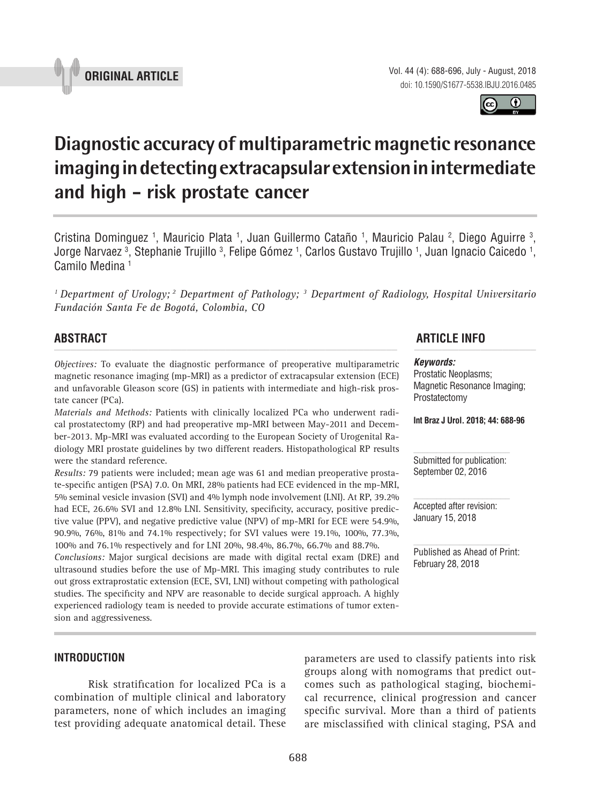



# **Diagnostic accuracy of multiparametric magnetic resonance imaging in detecting extracapsular extension in intermediate and high - risk prostate cancer \_\_\_\_\_\_\_\_\_\_\_\_\_\_\_\_\_\_\_\_\_\_\_\_\_\_\_\_\_\_\_\_\_\_\_\_\_\_\_\_\_\_\_\_\_\_\_**

Cristina Dominguez <sup>1</sup>, Mauricio Plata <sup>1</sup>, Juan Guillermo Cataño <sup>1</sup>, Mauricio Palau <sup>2</sup>, Diego Aguirre <sup>3</sup>, Jorge Narvaez <sup>3</sup>, Stephanie Trujillo <sup>3</sup>, Felipe Gómez <sup>1</sup>, Carlos Gustavo Trujillo <sup>1</sup>, Juan Ignacio Caicedo <sup>1</sup>, Camilo Medina 1

<sup>1</sup> Department of Urology;<sup>2</sup> Department of Pathology; <sup>3</sup> Department of Radiology, Hospital Universitario *Fundación Santa Fe de Bogotá, Colombia, CO*

*Objectives:* To evaluate the diagnostic performance of preoperative multiparametric magnetic resonance imaging (mp-MRI) as a predictor of extracapsular extension (ECE) and unfavorable Gleason score (GS) in patients with intermediate and high-risk prostate cancer (PCa).

*Materials and Methods:* Patients with clinically localized PCa who underwent radical prostatectomy (RP) and had preoperative mp-MRI between May-2011 and December-2013. Mp-MRI was evaluated according to the European Society of Urogenital Radiology MRI prostate guidelines by two different readers. Histopathological RP results were the standard reference.

*Results:* 79 patients were included; mean age was 61 and median preoperative prostate-specific antigen (PSA) 7.0. On MRI, 28% patients had ECE evidenced in the mp-MRI, 5% seminal vesicle invasion (SVI) and 4% lymph node involvement (LNI). At RP, 39.2% had ECE, 26.6% SVI and 12.8% LNI. Sensitivity, specificity, accuracy, positive predictive value (PPV), and negative predictive value (NPV) of mp-MRI for ECE were 54.9%, 90.9%, 76%, 81% and 74.1% respectively; for SVI values were 19.1%, 100%, 77.3%, 100% and 76.1% respectively and for LNI 20%, 98.4%, 86.7%, 66.7% and 88.7%.

*Conclusions:* Major surgical decisions are made with digital rectal exam (DRE) and ultrasound studies before the use of Mp-MRI. This imaging study contributes to rule out gross extraprostatic extension (ECE, SVI, LNI) without competing with pathological studies. The specificity and NPV are reasonable to decide surgical approach. A highly experienced radiology team is needed to provide accurate estimations of tumor extension and aggressiveness.

# **INTRODUCTION**

Risk stratification for localized PCa is a combination of multiple clinical and laboratory parameters, none of which includes an imaging test providing adequate anatomical detail. These

parameters are used to classify patients into risk groups along with nomograms that predict outcomes such as pathological staging, biochemical recurrence, clinical progression and cancer specific survival. More than a third of patients are misclassified with clinical staging, PSA and

**ABSTRACT ARTICLE INFO** *\_\_\_\_\_\_\_\_\_\_\_\_\_\_\_\_\_\_\_\_\_\_\_\_\_\_\_\_\_\_\_\_\_\_\_\_\_\_\_\_\_\_\_\_\_\_\_\_\_\_\_\_\_\_\_\_\_\_\_\_\_\_ \_\_\_\_\_\_\_\_\_\_\_\_\_\_\_\_\_\_\_\_\_\_*

# *Keywords:*

Prostatic Neoplasms; Magnetic Resonance Imaging; Prostatectomy

**Int Braz J Urol. 2018; 44: 688-96**

Submitted for publication: September 02, 2016

Accepted after revision: January 15, 2018

Published as Ahead of Print: February 28, 2018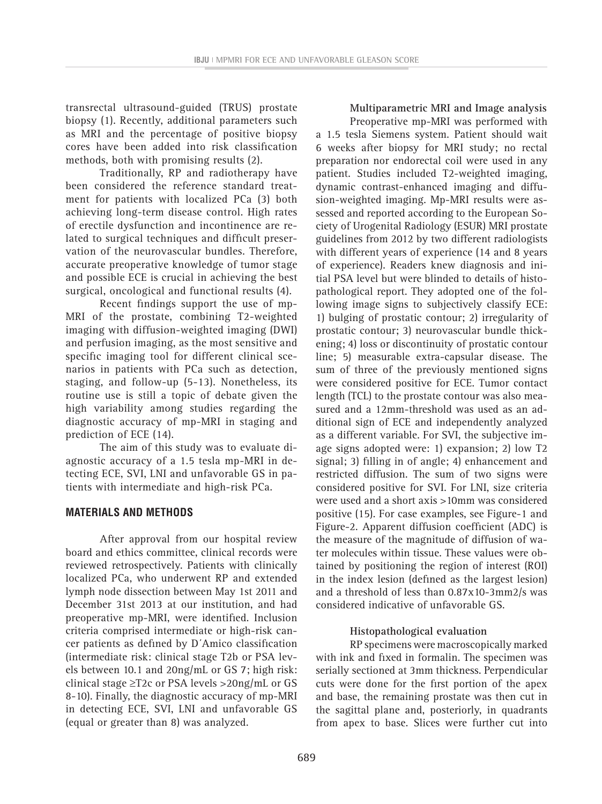transrectal ultrasound-guided (TRUS) prostate biopsy (1). Recently, additional parameters such as MRI and the percentage of positive biopsy cores have been added into risk classification methods, both with promising results (2).

Traditionally, RP and radiotherapy have been considered the reference standard treatment for patients with localized PCa (3) both achieving long-term disease control. High rates of erectile dysfunction and incontinence are related to surgical techniques and difficult preservation of the neurovascular bundles. Therefore, accurate preoperative knowledge of tumor stage and possible ECE is crucial in achieving the best surgical, oncological and functional results (4).

Recent findings support the use of mp-MRI of the prostate, combining T2-weighted imaging with diffusion-weighted imaging (DWI) and perfusion imaging, as the most sensitive and specific imaging tool for different clinical scenarios in patients with PCa such as detection, staging, and follow-up (5-13). Nonetheless, its routine use is still a topic of debate given the high variability among studies regarding the diagnostic accuracy of mp-MRI in staging and prediction of ECE (14).

The aim of this study was to evaluate diagnostic accuracy of a 1.5 tesla mp-MRI in detecting ECE, SVI, LNI and unfavorable GS in patients with intermediate and high-risk PCa.

# **MATERIALS AND METHODS**

After approval from our hospital review board and ethics committee, clinical records were reviewed retrospectively. Patients with clinically localized PCa, who underwent RP and extended lymph node dissection between May 1st 2011 and December 31st 2013 at our institution, and had preoperative mp-MRI, were identified. Inclusion criteria comprised intermediate or high-risk cancer patients as defined by D´Amico classification (intermediate risk: clinical stage T2b or PSA levels between 10.1 and 20ng/mL or GS 7; high risk: clinical stage ≥T2c or PSA levels >20ng/mL or GS 8-10). Finally, the diagnostic accuracy of mp-MRI in detecting ECE, SVI, LNI and unfavorable GS (equal or greater than 8) was analyzed.

# **Multiparametric MRI and Image analysis**

Preoperative mp-MRI was performed with a 1.5 tesla Siemens system. Patient should wait 6 weeks after biopsy for MRI study; no rectal preparation nor endorectal coil were used in any patient. Studies included T2-weighted imaging, dynamic contrast-enhanced imaging and diffusion-weighted imaging. Mp-MRI results were assessed and reported according to the European Society of Urogenital Radiology (ESUR) MRI prostate guidelines from 2012 by two different radiologists with different years of experience (14 and 8 years of experience). Readers knew diagnosis and initial PSA level but were blinded to details of histopathological report. They adopted one of the following image signs to subjectively classify ECE: 1) bulging of prostatic contour; 2) irregularity of prostatic contour; 3) neurovascular bundle thickening; 4) loss or discontinuity of prostatic contour line; 5) measurable extra-capsular disease. The sum of three of the previously mentioned signs were considered positive for ECE. Tumor contact length (TCL) to the prostate contour was also measured and a 12mm-threshold was used as an additional sign of ECE and independently analyzed as a different variable. For SVI, the subjective image signs adopted were: 1) expansion; 2) low T2 signal; 3) filling in of angle; 4) enhancement and restricted diffusion. The sum of two signs were considered positive for SVI. For LNI, size criteria were used and a short axis >10mm was considered positive (15). For case examples, see Figure-1 and Figure-2. Apparent diffusion coefficient (ADC) is the measure of the magnitude of diffusion of water molecules within tissue. These values were obtained by positioning the region of interest (ROI) in the index lesion (defined as the largest lesion) and a threshold of less than 0.87x10-3mm2/s was considered indicative of unfavorable GS.

# **Histopathological evaluation**

RP specimens were macroscopically marked with ink and fixed in formalin. The specimen was serially sectioned at 3mm thickness. Perpendicular cuts were done for the first portion of the apex and base, the remaining prostate was then cut in the sagittal plane and, posteriorly, in quadrants from apex to base. Slices were further cut into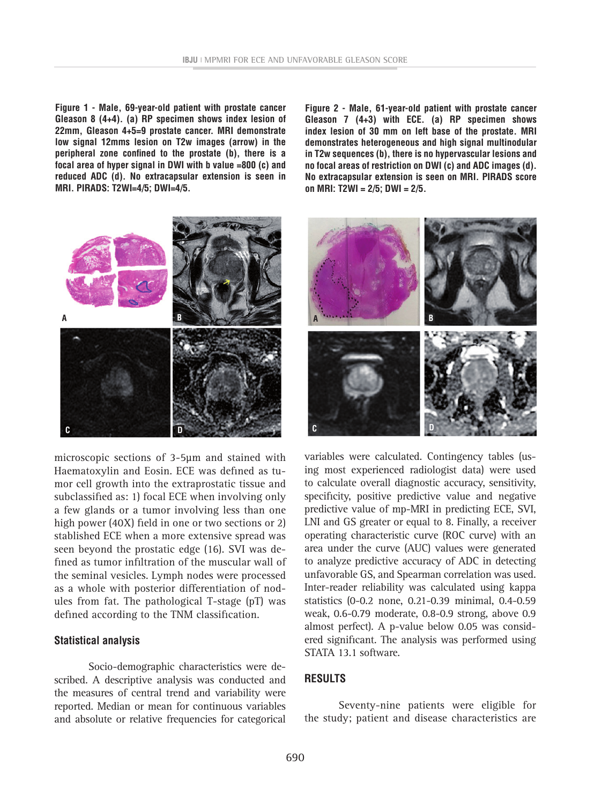**Figure 1 - Male, 69-year-old patient with prostate cancer Gleason 8 (4+4). (a) RP specimen shows index lesion of 22mm, Gleason 4+5=9 prostate cancer. MRI demonstrate low signal 12mms lesion on T2w images (arrow) in the peripheral zone confined to the prostate (b), there is a focal area of hyper signal in DWI with b value =800 (c) and reduced ADC (d). No extracapsular extension is seen in MRI. PIRADS: T2WI=4/5; DWI=4/5.**

**Figure 2 - Male, 61-year-old patient with prostate cancer Gleason 7 (4+3) with ECE. (a) RP specimen shows index lesion of 30 mm on left base of the prostate. MRI demonstrates heterogeneous and high signal multinodular in T2w sequences (b), there is no hypervascular lesions and no focal areas of restriction on DWI (c) and ADC images (d). No extracapsular extension is seen on MRI. PIRADS score on MRI: T2WI = 2/5; DWI = 2/5.** 



microscopic sections of 3-5μm and stained with Haematoxylin and Eosin. ECE was defined as tumor cell growth into the extraprostatic tissue and subclassified as: 1) focal ECE when involving only a few glands or a tumor involving less than one high power (40X) field in one or two sections or 2) stablished ECE when a more extensive spread was seen beyond the prostatic edge (16). SVI was defined as tumor infiltration of the muscular wall of the seminal vesicles. Lymph nodes were processed as a whole with posterior differentiation of nodules from fat. The pathological T-stage (pT) was defined according to the TNM classification.

#### **Statistical analysis**

Socio-demographic characteristics were described. A descriptive analysis was conducted and the measures of central trend and variability were reported. Median or mean for continuous variables and absolute or relative frequencies for categorical



variables were calculated. Contingency tables (using most experienced radiologist data) were used to calculate overall diagnostic accuracy, sensitivity, specificity, positive predictive value and negative predictive value of mp-MRI in predicting ECE, SVI, LNI and GS greater or equal to 8. Finally, a receiver operating characteristic curve (ROC curve) with an area under the curve (AUC) values were generated to analyze predictive accuracy of ADC in detecting unfavorable GS, and Spearman correlation was used. Inter-reader reliability was calculated using kappa statistics (0-0.2 none, 0.21-0.39 minimal, 0.4-0.59 weak, 0.6-0.79 moderate, 0.8-0.9 strong, above 0.9 almost perfect). A p-value below 0.05 was considered significant. The analysis was performed using STATA 13.1 software.

### **RESULTS**

Seventy-nine patients were eligible for the study; patient and disease characteristics are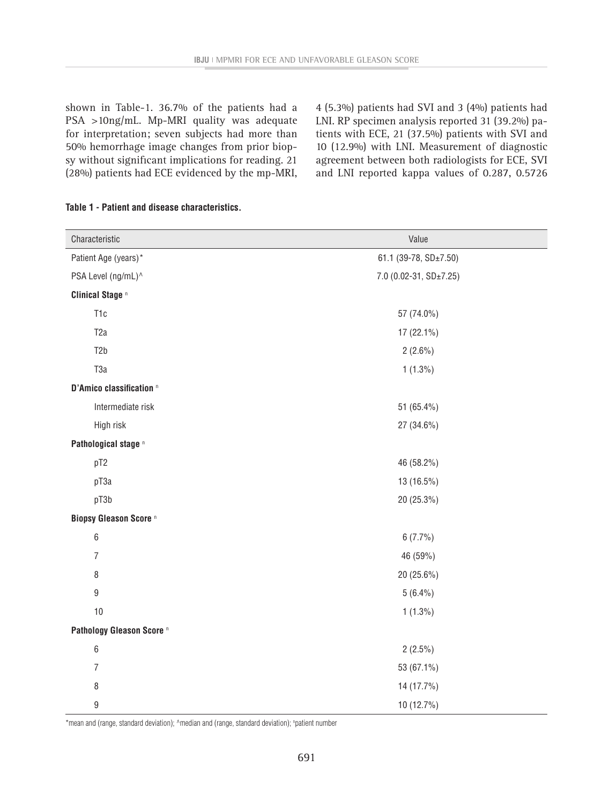shown in Table-1. 36.7% of the patients had a PSA >10ng/mL. Mp-MRI quality was adequate for interpretation; seven subjects had more than 50% hemorrhage image changes from prior biopsy without significant implications for reading. 21 (28%) patients had ECE evidenced by the mp-MRI, 4 (5.3%) patients had SVI and 3 (4%) patients had LNI. RP specimen analysis reported 31 (39.2%) patients with ECE, 21 (37.5%) patients with SVI and 10 (12.9%) with LNI. Measurement of diagnostic agreement between both radiologists for ECE, SVI and LNI reported kappa values of 0.287, 0.5726

| Characteristic                           | Value                  |
|------------------------------------------|------------------------|
| Patient Age (years)*                     | 61.1 (39-78, SD±7.50)  |
| PSA Level (ng/mL)^                       | 7.0 (0.02-31, SD±7.25) |
| <b>Clinical Stage</b> <sup>n</sup>       |                        |
| T <sub>1</sub> c                         | 57 (74.0%)             |
| T <sub>2</sub> a                         | 17 (22.1%)             |
| T <sub>2</sub> b                         | $2(2.6\%)$             |
| T <sub>3</sub> a                         | $1(1.3\%)$             |
| D'Amico classification <sup>n</sup>      |                        |
| Intermediate risk                        | 51 (65.4%)             |
| High risk                                | 27 (34.6%)             |
| Pathological stage <sup>n</sup>          |                        |
| pT2                                      | 46 (58.2%)             |
| рТЗа                                     | 13 (16.5%)             |
| pT3b                                     | 20 (25.3%)             |
| <b>Biopsy Gleason Score</b> <sup>n</sup> |                        |
| $\,6\,$                                  | $6(7.7\%)$             |
| $\boldsymbol{7}$                         | 46 (59%)               |
| $\, 8$                                   | 20 (25.6%)             |
| $\boldsymbol{9}$                         | $5(6.4\%)$             |
| 10                                       | $1(1.3\%)$             |
| Pathology Gleason Score <sup>n</sup>     |                        |
| 6                                        | $2(2.5\%)$             |
| $\overline{7}$                           | 53 (67.1%)             |
| 8                                        | 14 (17.7%)             |
| 9                                        | 10 (12.7%)             |

#### **Table 1 - Patient and disease characteristics.**

\*mean and (range, standard deviation); ^median and (range, standard deviation); <sup>n</sup>patient number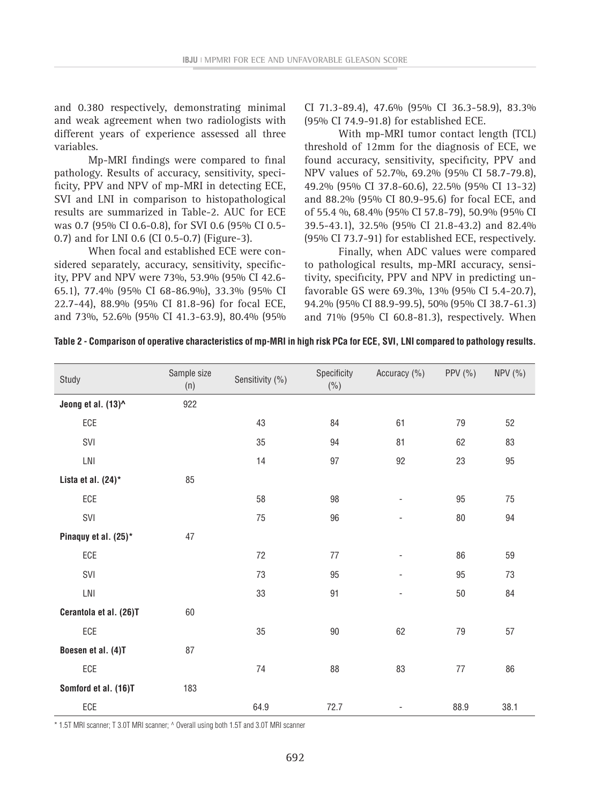and 0.380 respectively, demonstrating minimal and weak agreement when two radiologists with different years of experience assessed all three variables.

Mp-MRI findings were compared to final pathology. Results of accuracy, sensitivity, specificity, PPV and NPV of mp-MRI in detecting ECE, SVI and LNI in comparison to histopathological results are summarized in Table-2. AUC for ECE was 0.7 (95% CI 0.6-0.8), for SVI 0.6 (95% CI 0.5- 0.7) and for LNI 0.6 (CI 0.5-0.7) (Figure-3).

When focal and established ECE were considered separately, accuracy, sensitivity, specificity, PPV and NPV were 73%, 53.9% (95% CI 42.6-65.1), 77.4% (95% CI 68-86.9%), 33.3% (95% CI 22.7-44), 88.9% (95% CI 81.8-96) for focal ECE, and 73%, 52.6% (95% CI 41.3-63.9), 80.4% (95% CI 71.3-89.4), 47.6% (95% CI 36.3-58.9), 83.3% (95% CI 74.9-91.8) for established ECE.

With mp-MRI tumor contact length (TCL) threshold of 12mm for the diagnosis of ECE, we found accuracy, sensitivity, specificity, PPV and NPV values of 52.7%, 69.2% (95% CI 58.7-79.8), 49.2% (95% CI 37.8-60.6), 22.5% (95% CI 13-32) and 88.2% (95% CI 80.9-95.6) for focal ECE, and of 55.4 %, 68.4% (95% CI 57.8-79), 50.9% (95% CI 39.5-43.1), 32.5% (95% CI 21.8-43.2) and 82.4% (95% CI 73.7-91) for established ECE, respectively.

Finally, when ADC values were compared to pathological results, mp-MRI accuracy, sensitivity, specificity, PPV and NPV in predicting unfavorable GS were 69.3%, 13% (95% CI 5.4-20.7), 94.2% (95% CI 88.9-99.5), 50% (95% CI 38.7-61.3) and 71% (95% CI 60.8-81.3), respectively. When

|  |  |  |  |  |  |  |  |  | Table 2 - Comparison of operative characteristics of mp-MRI in high risk PCa for ECE, SVI, LNI compared to pathology results. |  |
|--|--|--|--|--|--|--|--|--|-------------------------------------------------------------------------------------------------------------------------------|--|
|--|--|--|--|--|--|--|--|--|-------------------------------------------------------------------------------------------------------------------------------|--|

| Study                  | Sample size<br>(n) | Sensitivity (%) | Specificity<br>(%) | Accuracy (%)             | PPV (%) | NPV (%) |
|------------------------|--------------------|-----------------|--------------------|--------------------------|---------|---------|
| Jeong et al. (13)^     | 922                |                 |                    |                          |         |         |
| ECE                    |                    | 43              | 84                 | 61                       | 79      | 52      |
| SVI                    |                    | 35              | 94                 | 81                       | 62      | 83      |
| LNI                    |                    | 14              | 97                 | 92                       | 23      | 95      |
| Lista et al. (24)*     | 85                 |                 |                    |                          |         |         |
| ECE                    |                    | 58              | 98                 | $\overline{\phantom{a}}$ | 95      | 75      |
| SVI                    |                    | 75              | 96                 | -                        | 80      | 94      |
| Pinaquy et al. (25)*   | 47                 |                 |                    |                          |         |         |
| ECE                    |                    | 72              | 77                 | $\overline{\phantom{a}}$ | 86      | 59      |
| SVI                    |                    | 73              | 95                 | -                        | 95      | 73      |
| LNI                    |                    | 33              | 91                 | $\overline{\phantom{a}}$ | 50      | 84      |
| Cerantola et al. (26)T | 60                 |                 |                    |                          |         |         |
| ECE                    |                    | 35              | $90\,$             | 62                       | 79      | 57      |
| Boesen et al. (4)T     | 87                 |                 |                    |                          |         |         |
| ECE                    |                    | 74              | 88                 | 83                       | 77      | 86      |
| Somford et al. (16)T   | 183                |                 |                    |                          |         |         |
| ECE                    |                    | 64.9            | 72.7               |                          | 88.9    | 38.1    |

\* 1.5T MRI scanner; T 3.0T MRI scanner; ^ Overall using both 1.5T and 3.0T MRI scanner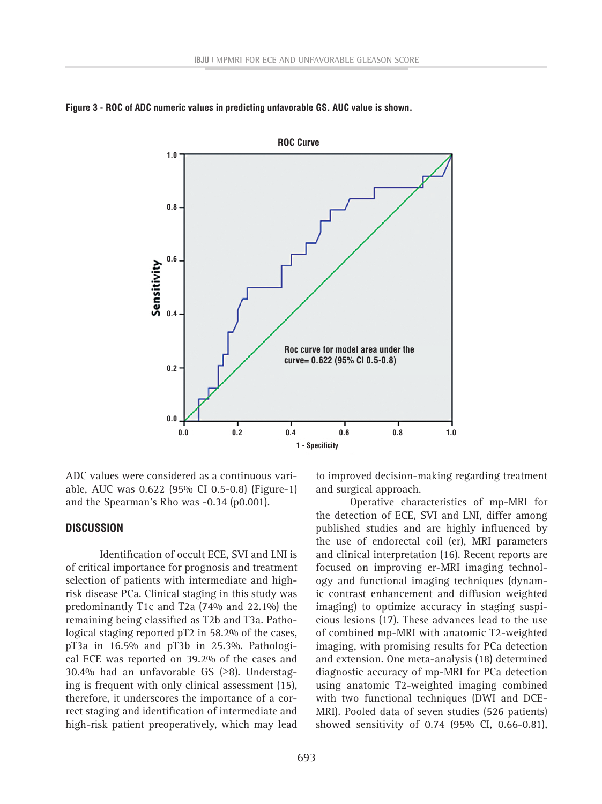



ADC values were considered as a continuous variable, AUC was 0.622 (95% CI 0.5-0.8) (Figure-1) and the Spearman's Rho was -0.34 (p0.001).

#### **DISCUSSION**

Identification of occult ECE, SVI and LNI is of critical importance for prognosis and treatment selection of patients with intermediate and highrisk disease PCa. Clinical staging in this study was predominantly T1c and T2a (74% and 22.1%) the remaining being classified as T2b and T3a. Pathological staging reported pT2 in 58.2% of the cases, pT3a in 16.5% and pT3b in 25.3%. Pathological ECE was reported on 39.2% of the cases and 30.4% had an unfavorable GS (≥8). Understaging is frequent with only clinical assessment (15), therefore, it underscores the importance of a correct staging and identification of intermediate and high-risk patient preoperatively, which may lead to improved decision-making regarding treatment and surgical approach.

Operative characteristics of mp-MRI for the detection of ECE, SVI and LNI, differ among published studies and are highly influenced by the use of endorectal coil (er), MRI parameters and clinical interpretation (16). Recent reports are focused on improving er-MRI imaging technology and functional imaging techniques (dynamic contrast enhancement and diffusion weighted imaging) to optimize accuracy in staging suspicious lesions (17). These advances lead to the use of combined mp-MRI with anatomic T2-weighted imaging, with promising results for PCa detection and extension. One meta-analysis (18) determined diagnostic accuracy of mp-MRI for PCa detection using anatomic T2-weighted imaging combined with two functional techniques (DWI and DCE-MRI). Pooled data of seven studies (526 patients) showed sensitivity of 0.74 (95% CI, 0.66-0.81),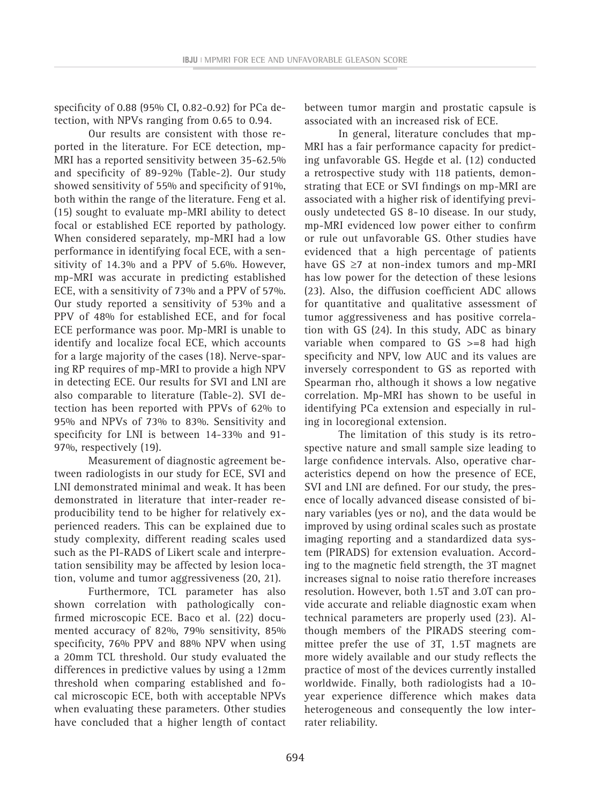specificity of 0.88 (95% CI, 0.82-0.92) for PCa detection, with NPVs ranging from 0.65 to 0.94.

Our results are consistent with those reported in the literature. For ECE detection, mp-MRI has a reported sensitivity between 35-62.5% and specificity of 89-92% (Table-2). Our study showed sensitivity of 55% and specificity of 91%, both within the range of the literature. Feng et al. (15) sought to evaluate mp-MRI ability to detect focal or established ECE reported by pathology. When considered separately, mp-MRI had a low performance in identifying focal ECE, with a sensitivity of 14.3% and a PPV of 5.6%. However, mp-MRI was accurate in predicting established ECE, with a sensitivity of 73% and a PPV of 57%. Our study reported a sensitivity of 53% and a PPV of 48% for established ECE, and for focal ECE performance was poor. Mp-MRI is unable to identify and localize focal ECE, which accounts for a large majority of the cases (18). Nerve-sparing RP requires of mp-MRI to provide a high NPV in detecting ECE. Our results for SVI and LNI are also comparable to literature (Table-2). SVI detection has been reported with PPVs of 62% to 95% and NPVs of 73% to 83%. Sensitivity and specificity for LNI is between 14-33% and 91- 97%, respectively (19).

Measurement of diagnostic agreement between radiologists in our study for ECE, SVI and LNI demonstrated minimal and weak. It has been demonstrated in literature that inter-reader reproducibility tend to be higher for relatively experienced readers. This can be explained due to study complexity, different reading scales used such as the PI-RADS of Likert scale and interpretation sensibility may be affected by lesion location, volume and tumor aggressiveness (20, 21).

Furthermore, TCL parameter has also shown correlation with pathologically confirmed microscopic ECE. Baco et al. (22) documented accuracy of 82%, 79% sensitivity, 85% specificity, 76% PPV and 88% NPV when using a 20mm TCL threshold. Our study evaluated the differences in predictive values by using a 12mm threshold when comparing established and focal microscopic ECE, both with acceptable NPVs when evaluating these parameters. Other studies have concluded that a higher length of contact

between tumor margin and prostatic capsule is associated with an increased risk of ECE.

In general, literature concludes that mp-MRI has a fair performance capacity for predicting unfavorable GS. Hegde et al. (12) conducted a retrospective study with 118 patients, demonstrating that ECE or SVI findings on mp-MRI are associated with a higher risk of identifying previously undetected GS 8-10 disease. In our study, mp-MRI evidenced low power either to confirm or rule out unfavorable GS. Other studies have evidenced that a high percentage of patients have  $GS \geq 7$  at non-index tumors and mp-MRI has low power for the detection of these lesions (23). Also, the diffusion coefficient ADC allows for quantitative and qualitative assessment of tumor aggressiveness and has positive correlation with GS (24). In this study, ADC as binary variable when compared to  $GS \geq -8$  had high specificity and NPV, low AUC and its values are inversely correspondent to GS as reported with Spearman rho, although it shows a low negative correlation. Mp-MRI has shown to be useful in identifying PCa extension and especially in ruling in locoregional extension.

The limitation of this study is its retrospective nature and small sample size leading to large confidence intervals. Also, operative characteristics depend on how the presence of ECE, SVI and LNI are defined. For our study, the presence of locally advanced disease consisted of binary variables (yes or no), and the data would be improved by using ordinal scales such as prostate imaging reporting and a standardized data system (PIRADS) for extension evaluation. According to the magnetic field strength, the 3T magnet increases signal to noise ratio therefore increases resolution. However, both 1.5T and 3.0T can provide accurate and reliable diagnostic exam when technical parameters are properly used (23). Although members of the PIRADS steering committee prefer the use of 3T, 1.5T magnets are more widely available and our study reflects the practice of most of the devices currently installed worldwide. Finally, both radiologists had a 10 year experience difference which makes data heterogeneous and consequently the low interrater reliability.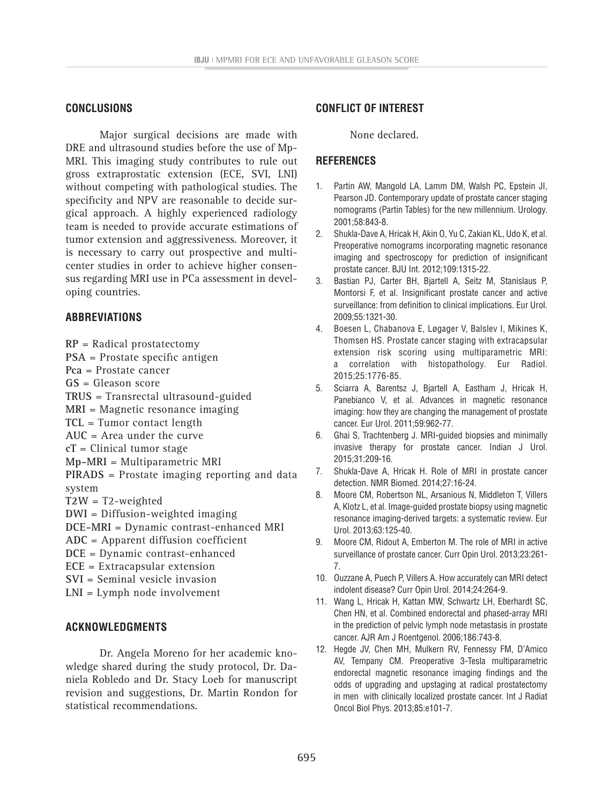# **CONCLUSIONS**

Major surgical decisions are made with DRE and ultrasound studies before the use of Mp-MRI. This imaging study contributes to rule out gross extraprostatic extension (ECE, SVI, LNI) without competing with pathological studies. The specificity and NPV are reasonable to decide surgical approach. A highly experienced radiology team is needed to provide accurate estimations of tumor extension and aggressiveness. Moreover, it is necessary to carry out prospective and multicenter studies in order to achieve higher consensus regarding MRI use in PCa assessment in developing countries.

# **ABBREVIATIONS**

- **RP** = Radical prostatectomy
- **PSA** = Prostate specific antigen
- **Pca** = Prostate cancer
- **GS** = Gleason score
- **TRUS** = Transrectal ultrasound-guided
- **MRI** = Magnetic resonance imaging
- **TCL** = Tumor contact length
- **AUC** = Area under the curve
- **cT** = Clinical tumor stage
- **Mp-MRI** = Multiparametric MRI
- **PIRADS** = Prostate imaging reporting and data system
- **T2W** = T2-weighted
- **DWI** = Diffusion-weighted imaging
- **DCE-MRI** = Dynamic contrast-enhanced MRI
- **ADC** = Apparent diffusion coefficient
- **DCE** = Dynamic contrast-enhanced
- **ECE** = Extracapsular extension
- **SVI** = Seminal vesicle invasion
- **LNI** = Lymph node involvement

# **ACKNOWLEDGMENTS**

Dr. Angela Moreno for her academic knowledge shared during the study protocol, Dr. Daniela Robledo and Dr. Stacy Loeb for manuscript revision and suggestions, Dr. Martin Rondon for statistical recommendations.

# **CONFLICT OF INTEREST**

None declared.

# **REFERENCES**

- 1. Partin AW, Mangold LA, Lamm DM, Walsh PC, Epstein JI, Pearson JD. Contemporary update of prostate cancer staging nomograms (Partin Tables) for the new millennium. Urology. 2001;58:843-8.
- 2. Shukla-Dave A, Hricak H, Akin O, Yu C, Zakian KL, Udo K, et al. Preoperative nomograms incorporating magnetic resonance imaging and spectroscopy for prediction of insignificant prostate cancer. BJU Int. 2012;109:1315-22.
- 3. Bastian PJ, Carter BH, Bjartell A, Seitz M, Stanislaus P, Montorsi F, et al. Insignificant prostate cancer and active surveillance: from definition to clinical implications. Eur Urol. 2009;55:1321-30.
- 4. Boesen L, Chabanova E, Løgager V, Balslev I, Mikines K, Thomsen HS. Prostate cancer staging with extracapsular extension risk scoring using multiparametric MRI: a correlation with histopathology. Eur Radiol. 2015;25:1776-85.
- 5. Sciarra A, Barentsz J, Bjartell A, Eastham J, Hricak H, Panebianco V, et al. Advances in magnetic resonance imaging: how they are changing the management of prostate cancer. Eur Urol. 2011;59:962-77.
- 6. Ghai S, Trachtenberg J. MRI-guided biopsies and minimally invasive therapy for prostate cancer. Indian J Urol. 2015;31:209-16.
- 7. Shukla-Dave A, Hricak H. Role of MRI in prostate cancer detection. NMR Biomed. 2014;27:16-24.
- 8. Moore CM, Robertson NL, Arsanious N, Middleton T, Villers A, Klotz L, et al. Image-guided prostate biopsy using magnetic resonance imaging-derived targets: a systematic review. Eur Urol. 2013;63:125-40.
- 9. Moore CM, Ridout A, Emberton M. The role of MRI in active surveillance of prostate cancer. Curr Opin Urol. 2013;23:261- 7.
- 10. Ouzzane A, Puech P, Villers A. How accurately can MRI detect indolent disease? Curr Opin Urol. 2014;24:264-9.
- 11. Wang L, Hricak H, Kattan MW, Schwartz LH, Eberhardt SC, Chen HN, et al. Combined endorectal and phased-array MRI in the prediction of pelvic lymph node metastasis in prostate cancer. AJR Am J Roentgenol. 2006;186:743-8.
- 12. Hegde JV, Chen MH, Mulkern RV, Fennessy FM, D'Amico AV, Tempany CM. Preoperative 3-Tesla multiparametric endorectal magnetic resonance imaging findings and the odds of upgrading and upstaging at radical prostatectomy in men with clinically localized prostate cancer. Int J Radiat Oncol Biol Phys. 2013;85:e101-7.